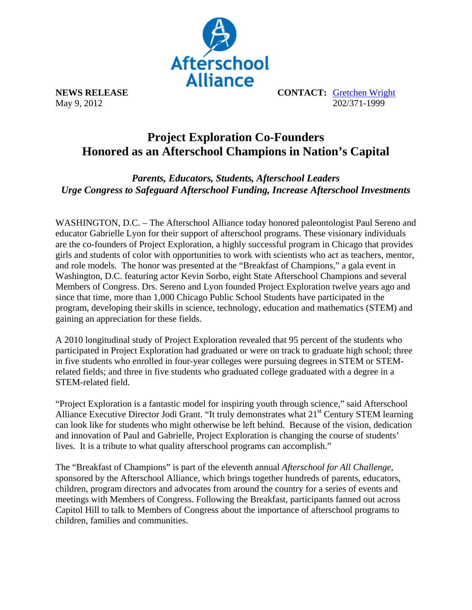

**NEWS RELEASE CONTACT:** Gretchen Wright May 9, 2012 202/371-1999

## **Project Exploration Co-Founders Honored as an Afterschool Champions in Nation's Capital**

*Parents, Educators, Students, Afterschool Leaders Urge Congress to Safeguard Afterschool Funding, Increase Afterschool Investments* 

WASHINGTON, D.C. – The Afterschool Alliance today honored paleontologist Paul Sereno and educator Gabrielle Lyon for their support of afterschool programs. These visionary individuals are the co-founders of Project Exploration, a highly successful program in Chicago that provides girls and students of color with opportunities to work with scientists who act as teachers, mentor, and role models. The honor was presented at the "Breakfast of Champions," a gala event in Washington, D.C. featuring actor Kevin Sorbo, eight State Afterschool Champions and several Members of Congress. Drs. Sereno and Lyon founded Project Exploration twelve years ago and since that time, more than 1,000 Chicago Public School Students have participated in the program, developing their skills in science, technology, education and mathematics (STEM) and gaining an appreciation for these fields.

A 2010 longitudinal study of Project Exploration revealed that 95 percent of the students who participated in Project Exploration had graduated or were on track to graduate high school; three in five students who enrolled in four-year colleges were pursuing degrees in STEM or STEMrelated fields; and three in five students who graduated college graduated with a degree in a STEM-related field.

"Project Exploration is a fantastic model for inspiring youth through science," said Afterschool Alliance Executive Director Jodi Grant. "It truly demonstrates what  $21<sup>st</sup>$  Century STEM learning can look like for students who might otherwise be left behind. Because of the vision, dedication and innovation of Paul and Gabrielle, Project Exploration is changing the course of students' lives. It is a tribute to what quality afterschool programs can accomplish."

The "Breakfast of Champions" is part of the eleventh annual *Afterschool for All Challenge,* sponsored by the Afterschool Alliance, which brings together hundreds of parents, educators, children, program directors and advocates from around the country for a series of events and meetings with Members of Congress. Following the Breakfast, participants fanned out across Capitol Hill to talk to Members of Congress about the importance of afterschool programs to children, families and communities.